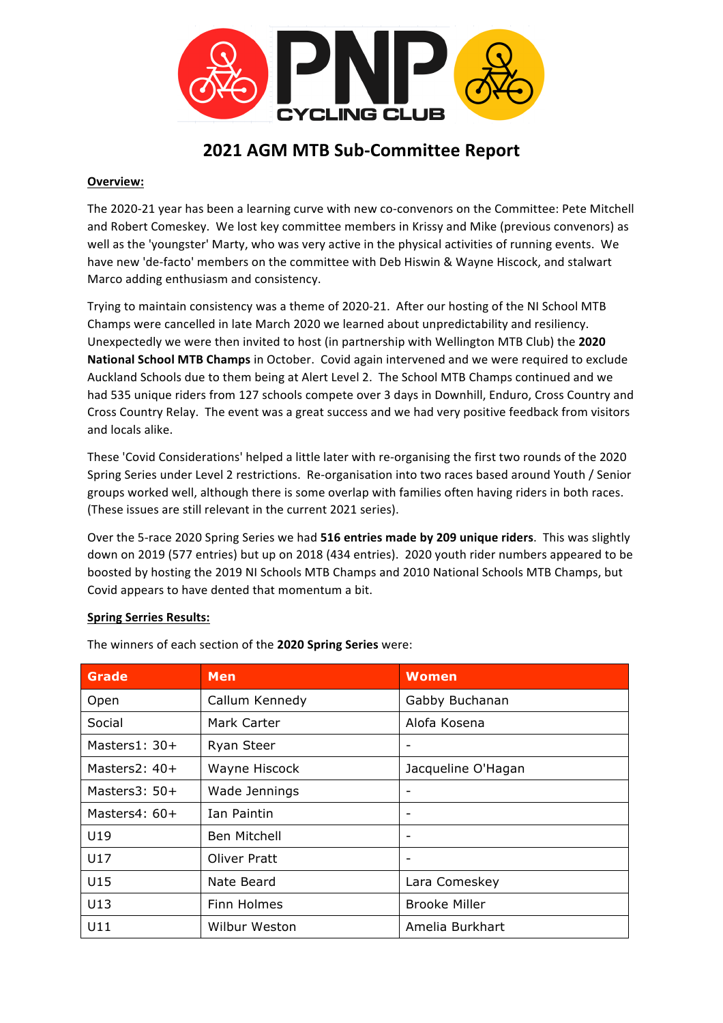

# **2021 AGM MTB Sub-Committee Report**

## **Overview:**

The 2020-21 year has been a learning curve with new co-convenors on the Committee: Pete Mitchell and Robert Comeskey. We lost key committee members in Krissy and Mike (previous convenors) as well as the 'youngster' Marty, who was very active in the physical activities of running events. We have new 'de-facto' members on the committee with Deb Hiswin & Wayne Hiscock, and stalwart Marco adding enthusiasm and consistency.

Trying to maintain consistency was a theme of 2020-21. After our hosting of the NI School MTB Champs were cancelled in late March 2020 we learned about unpredictability and resiliency. Unexpectedly we were then invited to host (in partnership with Wellington MTB Club) the 2020 **National School MTB Champs** in October. Covid again intervened and we were required to exclude Auckland Schools due to them being at Alert Level 2. The School MTB Champs continued and we had 535 unique riders from 127 schools compete over 3 days in Downhill, Enduro, Cross Country and Cross Country Relay. The event was a great success and we had very positive feedback from visitors and locals alike.

These 'Covid Considerations' helped a little later with re-organising the first two rounds of the 2020 Spring Series under Level 2 restrictions. Re-organisation into two races based around Youth / Senior groups worked well, although there is some overlap with families often having riders in both races. (These issues are still relevant in the current 2021 series).

Over the 5-race 2020 Spring Series we had 516 entries made by 209 unique riders. This was slightly down on 2019 (577 entries) but up on 2018 (434 entries). 2020 youth rider numbers appeared to be boosted by hosting the 2019 NI Schools MTB Champs and 2010 National Schools MTB Champs, but Covid appears to have dented that momentum a bit.

### **Spring Serries Results:**

| <b>Grade</b>    | <b>Men</b>        | <b>Women</b>             |
|-----------------|-------------------|--------------------------|
| Open            | Callum Kennedy    | Gabby Buchanan           |
| Social          | Mark Carter       | Alofa Kosena             |
| Masters $1:30+$ | <b>Ryan Steer</b> | -                        |
| Masters $2:40+$ | Wayne Hiscock     | Jacqueline O'Hagan       |
| Masters $3:50+$ | Wade Jennings     | -                        |
| Masters $4:60+$ | Ian Paintin       | $\overline{\phantom{a}}$ |
| U19             | Ben Mitchell      | $\overline{\phantom{a}}$ |
| U17             | Oliver Pratt      | $\overline{\phantom{a}}$ |
| U15             | Nate Beard        | Lara Comeskey            |
| U13             | Finn Holmes       | <b>Brooke Miller</b>     |
| U11             | Wilbur Weston     | Amelia Burkhart          |

The winners of each section of the 2020 Spring Series were: